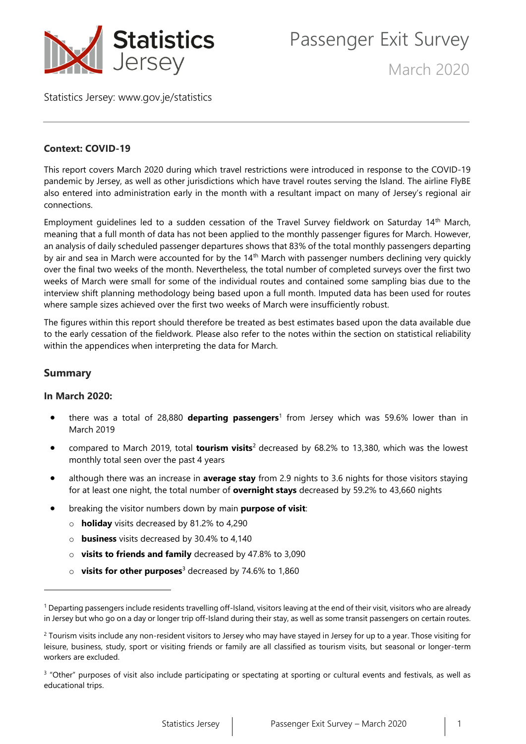

Passenger Exit Survey

March 2020

Statistics Jersey: [www.gov.je/statistics](https://www.gov.je/statistics)

## **Context: COVID-19**

This report covers March 2020 during which travel restrictions were introduced in response to the COVID-19 pandemic by Jersey, as well as other jurisdictions which have travel routes serving the Island. The airline FlyBE also entered into administration early in the month with a resultant impact on many of Jersey's regional air connections.

Employment guidelines led to a sudden cessation of the Travel Survey fieldwork on Saturday 14th March, meaning that a full month of data has not been applied to the monthly passenger figures for March. However, an analysis of daily scheduled passenger departures shows that 83% of the total monthly passengers departing by air and sea in March were accounted for by the 14<sup>th</sup> March with passenger numbers declining very quickly over the final two weeks of the month. Nevertheless, the total number of completed surveys over the first two weeks of March were small for some of the individual routes and contained some sampling bias due to the interview shift planning methodology being based upon a full month. Imputed data has been used for routes where sample sizes achieved over the first two weeks of March were insufficiently robust.

The figures within this report should therefore be treated as best estimates based upon the data available due to the early cessation of the fieldwork. Please also refer to the notes within the section on statistical reliability within the appendices when interpreting the data for March.

## **Summary**

## **In March 2020:**

- there was a total of 28,880 **departing passengers**<sup>1</sup> from Jersey which was 59.6% lower than in March 2019
- compared to March 2019, total **tourism visits**<sup>2</sup> decreased by 68.2% to 13,380, which was the lowest monthly total seen over the past 4 years
- although there was an increase in **average stay** from 2.9 nights to 3.6 nights for those visitors staying for at least one night, the total number of **overnight stays** decreased by 59.2% to 43,660 nights
- breaking the visitor numbers down by main **purpose of visit**:
	- o **holiday** visits decreased by 81.2% to 4,290
	- o **business** visits decreased by 30.4% to 4,140
	- o **visits to friends and family** decreased by 47.8% to 3,090
	- o **visits for other purposes**<sup>3</sup> decreased by 74.6% to 1,860

<sup>&</sup>lt;sup>1</sup> Departing passengers include residents travelling off-Island, visitors leaving at the end of their visit, visitors who are already in Jersey but who go on a day or longer trip off-Island during their stay, as well as some transit passengers on certain routes.

<sup>&</sup>lt;sup>2</sup> Tourism visits include any non-resident visitors to Jersey who may have stayed in Jersey for up to a year. Those visiting for leisure, business, study, sport or visiting friends or family are all classified as tourism visits, but seasonal or longer-term workers are excluded.

<sup>&</sup>lt;sup>3</sup> "Other" purposes of visit also include participating or spectating at sporting or cultural events and festivals, as well as educational trips.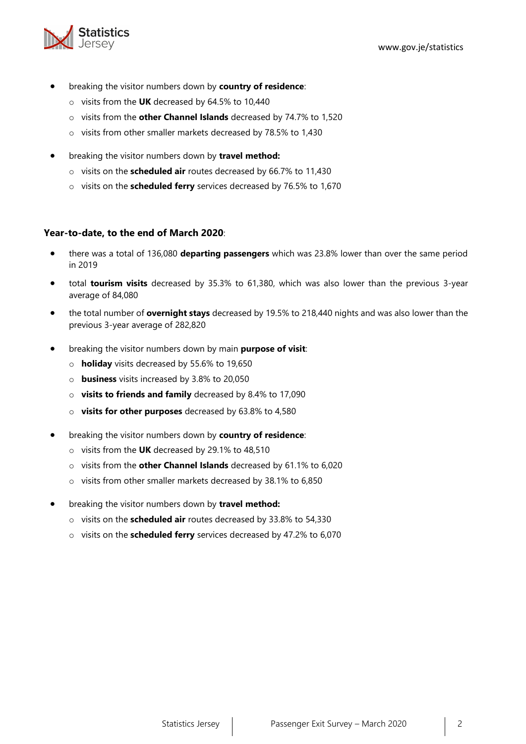

- breaking the visitor numbers down by **country of residence**:
	- o visits from the **UK** decreased by 64.5% to 10,440
	- o visits from the **other Channel Islands** decreased by 74.7% to 1,520
	- o visits from other smaller markets decreased by 78.5% to 1,430
- breaking the visitor numbers down by **travel method:**
	- o visits on the **scheduled air** routes decreased by 66.7% to 11,430
	- o visits on the **scheduled ferry** services decreased by 76.5% to 1,670

## **Year-to-date, to the end of March 2020**:

- there was a total of 136,080 **departing passengers** which was 23.8% lower than over the same period in 2019
- total **tourism visits** decreased by 35.3% to 61,380, which was also lower than the previous 3-year average of 84,080
- the total number of **overnight stays** decreased by 19.5% to 218,440 nights and was also lower than the previous 3-year average of 282,820
- breaking the visitor numbers down by main **purpose of visit**:
	- o **holiday** visits decreased by 55.6% to 19,650
	- o **business** visits increased by 3.8% to 20,050
	- o **visits to friends and family** decreased by 8.4% to 17,090
	- o **visits for other purposes** decreased by 63.8% to 4,580
- breaking the visitor numbers down by **country of residence**:
	- o visits from the **UK** decreased by 29.1% to 48,510
	- o visits from the **other Channel Islands** decreased by 61.1% to 6,020
	- o visits from other smaller markets decreased by 38.1% to 6,850
- breaking the visitor numbers down by **travel method:**
	- o visits on the **scheduled air** routes decreased by 33.8% to 54,330
	- o visits on the **scheduled ferry** services decreased by 47.2% to 6,070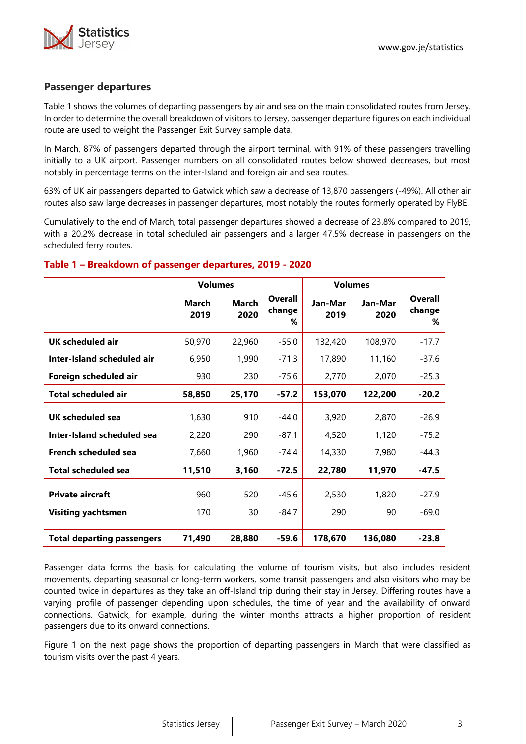

#### **Passenger departures**

Table 1 shows the volumes of departing passengers by air and sea on the main consolidated routes from Jersey. In order to determine the overall breakdown of visitors to Jersey, passenger departure figures on each individual route are used to weight the Passenger Exit Survey sample data.

In March, 87% of passengers departed through the airport terminal, with 91% of these passengers travelling initially to a UK airport. Passenger numbers on all consolidated routes below showed decreases, but most notably in percentage terms on the inter-Island and foreign air and sea routes.

63% of UK air passengers departed to Gatwick which saw a decrease of 13,870 passengers (-49%). All other air routes also saw large decreases in passenger departures, most notably the routes formerly operated by FlyBE.

Cumulatively to the end of March, total passenger departures showed a decrease of 23.8% compared to 2019, with a 20.2% decrease in total scheduled air passengers and a larger 47.5% decrease in passengers on the scheduled ferry routes.

#### **Table 1 – Breakdown of passenger departures, 2019 - 2020**

|                                                      | <b>Volumes</b> |                      |                               | <b>Volumes</b>  |                 |                               |
|------------------------------------------------------|----------------|----------------------|-------------------------------|-----------------|-----------------|-------------------------------|
|                                                      | March<br>2019  | <b>March</b><br>2020 | <b>Overall</b><br>change<br>% | Jan-Mar<br>2019 | Jan-Mar<br>2020 | <b>Overall</b><br>change<br>% |
| <b>UK scheduled air</b>                              | 50,970         | 22,960               | $-55.0$                       | 132,420         | 108,970         | $-17.7$                       |
| Inter-Island scheduled air                           | 6,950          | 1,990                | $-71.3$                       | 17,890          | 11,160          | $-37.6$                       |
| Foreign scheduled air                                | 930            | 230                  | -75.6                         | 2,770           | 2,070           | $-25.3$                       |
| <b>Total scheduled air</b>                           | 58,850         | 25,170               | $-57.2$                       | 153,070         | 122,200         | $-20.2$                       |
| <b>UK scheduled sea</b>                              | 1,630          | 910                  | $-44.0$                       | 3,920           | 2,870           | $-26.9$                       |
| <b>Inter-Island scheduled sea</b>                    | 2,220          | 290                  | $-87.1$                       | 4,520           | 1,120           | $-75.2$                       |
| French scheduled sea                                 | 7,660          | 1,960                | $-74.4$                       | 14,330          | 7,980           | $-44.3$                       |
| <b>Total scheduled sea</b>                           | 11,510         | 3,160                | $-72.5$                       | 22,780          | 11,970          | $-47.5$                       |
| <b>Private aircraft</b><br><b>Visiting yachtsmen</b> | 960<br>170     | 520<br>30            | $-45.6$<br>$-84.7$            | 2,530<br>290    | 1,820<br>90     | $-27.9$<br>$-69.0$            |
| <b>Total departing passengers</b>                    | 71,490         | 28,880               | $-59.6$                       | 178,670         | 136,080         | $-23.8$                       |

Passenger data forms the basis for calculating the volume of tourism visits, but also includes resident movements, departing seasonal or long-term workers, some transit passengers and also visitors who may be counted twice in departures as they take an off-Island trip during their stay in Jersey. Differing routes have a varying profile of passenger depending upon schedules, the time of year and the availability of onward connections. Gatwick, for example, during the winter months attracts a higher proportion of resident passengers due to its onward connections.

Figure 1 on the next page shows the proportion of departing passengers in March that were classified as tourism visits over the past 4 years.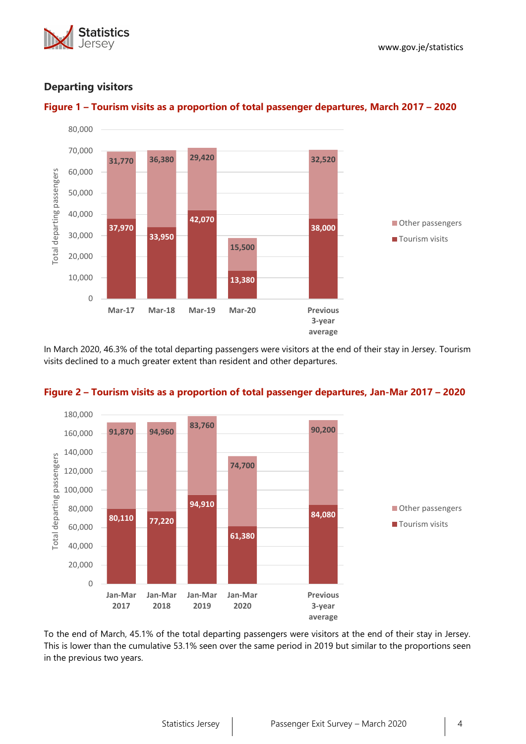





## **Departing visitors**



In March 2020, 46.3% of the total departing passengers were visitors at the end of their stay in Jersey. Tourism visits declined to a much greater extent than resident and other departures.



## **Figure 2 – Tourism visits as a proportion of total passenger departures, Jan-Mar 2017 – 2020**

To the end of March, 45.1% of the total departing passengers were visitors at the end of their stay in Jersey. This is lower than the cumulative 53.1% seen over the same period in 2019 but similar to the proportions seen in the previous two years.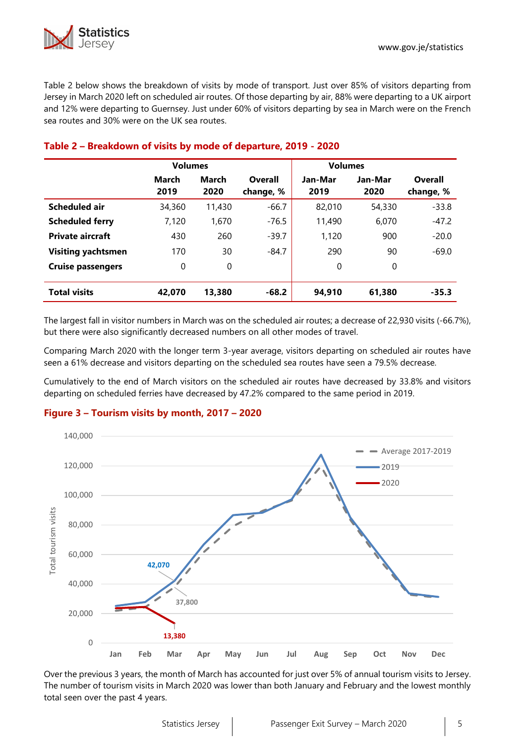Table 2 below shows the breakdown of visits by mode of transport. Just over 85% of visitors departing from Jersey in March 2020 left on scheduled air routes. Of those departing by air, 88% were departing to a UK airport and 12% were departing to Guernsey. Just under 60% of visitors departing by sea in March were on the French sea routes and 30% were on the UK sea routes.

|                           | <b>Volumes</b> |               |                      | <b>Volumes</b>  |                 |                      |  |  |
|---------------------------|----------------|---------------|----------------------|-----------------|-----------------|----------------------|--|--|
|                           | March<br>2019  | March<br>2020 | Overall<br>change, % | Jan-Mar<br>2019 | Jan-Mar<br>2020 | Overall<br>change, % |  |  |
| Scheduled air             | 34,360         | 11,430        | $-66.7$              | 82,010          | 54,330          | $-33.8$              |  |  |
| <b>Scheduled ferry</b>    | 7.120          | 1,670         | $-76.5$              | 11,490          | 6.070           | $-47.2$              |  |  |
| <b>Private aircraft</b>   | 430            | 260           | $-39.7$              | 1,120           | 900             | $-20.0$              |  |  |
| <b>Visiting yachtsmen</b> | 170            | 30            | $-84.7$              | 290             | 90              | $-69.0$              |  |  |
| <b>Cruise passengers</b>  | 0              | 0             |                      | 0               | 0               |                      |  |  |
| <b>Total visits</b>       | 42,070         | 13,380        | $-68.2$              | 94,910          | 61.380          | $-35.3$              |  |  |

## **Table 2 – Breakdown of visits by mode of departure, 2019 - 2020**

The largest fall in visitor numbers in March was on the scheduled air routes; a decrease of 22,930 visits (-66.7%), but there were also significantly decreased numbers on all other modes of travel.

Comparing March 2020 with the longer term 3-year average, visitors departing on scheduled air routes have seen a 61% decrease and visitors departing on the scheduled sea routes have seen a 79.5% decrease.

Cumulatively to the end of March visitors on the scheduled air routes have decreased by 33.8% and visitors departing on scheduled ferries have decreased by 47.2% compared to the same period in 2019.

## **Figure 3 – Tourism visits by month, 2017 – 2020**



Over the previous 3 years, the month of March has accounted for just over 5% of annual tourism visits to Jersey. The number of tourism visits in March 2020 was lower than both January and February and the lowest monthly total seen over the past 4 years.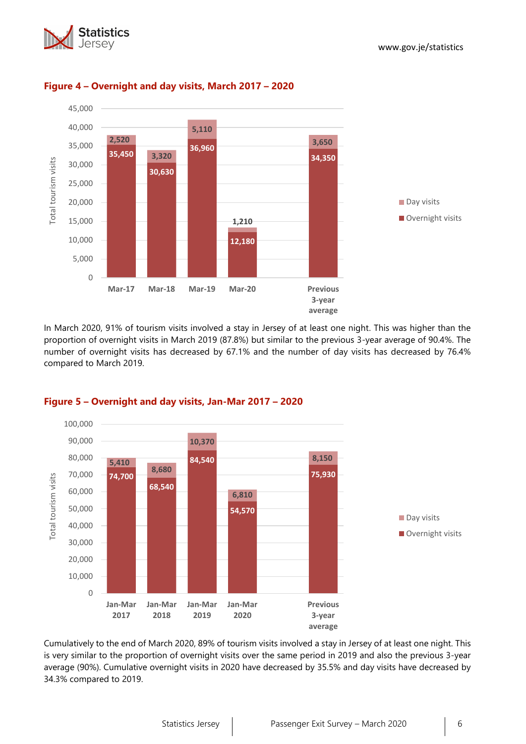



## **Figure 4 – Overnight and day visits, March 2017 – 2020**

In March 2020, 91% of tourism visits involved a stay in Jersey of at least one night. This was higher than the proportion of overnight visits in March 2019 (87.8%) but similar to the previous 3-year average of 90.4%. The number of overnight visits has decreased by 67.1% and the number of day visits has decreased by 76.4% compared to March 2019.



## **Figure 5 – Overnight and day visits, Jan-Mar 2017 – 2020**

Cumulatively to the end of March 2020, 89% of tourism visits involved a stay in Jersey of at least one night. This is very similar to the proportion of overnight visits over the same period in 2019 and also the previous 3-year average (90%). Cumulative overnight visits in 2020 have decreased by 35.5% and day visits have decreased by 34.3% compared to 2019.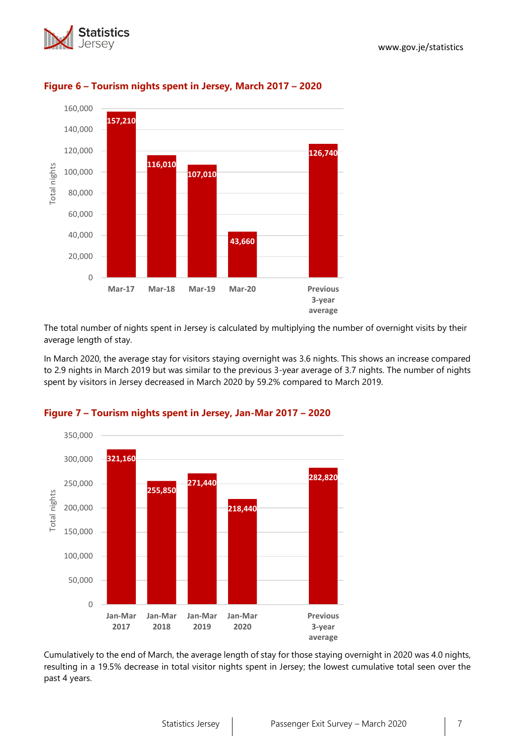



## **Figure 6 – Tourism nights spent in Jersey, March 2017 – 2020**

The total number of nights spent in Jersey is calculated by multiplying the number of overnight visits by their average length of stay.

In March 2020, the average stay for visitors staying overnight was 3.6 nights. This shows an increase compared to 2.9 nights in March 2019 but was similar to the previous 3-year average of 3.7 nights. The number of nights spent by visitors in Jersey decreased in March 2020 by 59.2% compared to March 2019.



## **Figure 7 – Tourism nights spent in Jersey, Jan-Mar 2017 – 2020**

Cumulatively to the end of March, the average length of stay for those staying overnight in 2020 was 4.0 nights, resulting in a 19.5% decrease in total visitor nights spent in Jersey; the lowest cumulative total seen over the past 4 years.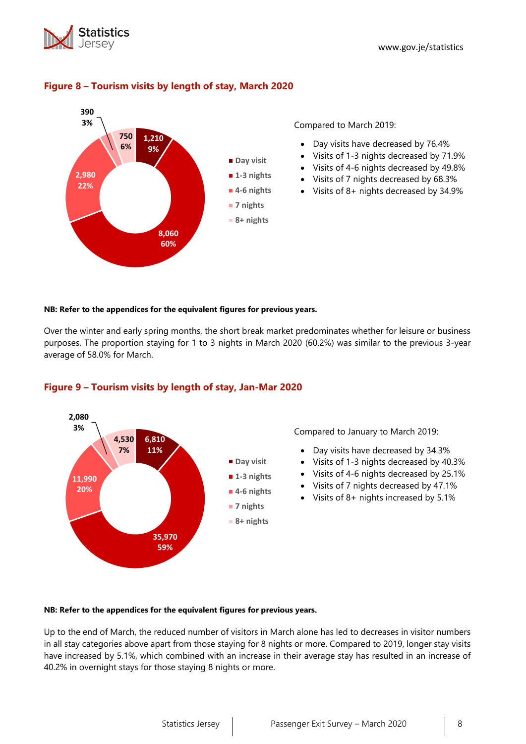



## **Figure 8 – Tourism visits by length of stay, March 2020**

Compared to March 2019:

- Day visits have decreased by 76.4%
- Visits of 1-3 nights decreased by 71.9%
- Visits of 4-6 nights decreased by 49.8%
- Visits of 7 nights decreased by 68.3%
- Visits of 8+ nights decreased by 34.9%

#### **NB: Refer to the appendices for the equivalent figures for previous years.**

Over the winter and early spring months, the short break market predominates whether for leisure or business purposes. The proportion staying for 1 to 3 nights in March 2020 (60.2%) was similar to the previous 3-year average of 58.0% for March.



## **Figure 9 – Tourism visits by length of stay, Jan-Mar 2020**

Compared to January to March 2019:

- Day visits have decreased by 34.3%
- Visits of 1-3 nights decreased by 40.3%
- Visits of 4-6 nights decreased by 25.1%
- Visits of 7 nights decreased by 47.1%
- Visits of 8+ nights increased by 5.1%

#### **NB: Refer to the appendices for the equivalent figures for previous years.**

Up to the end of March, the reduced number of visitors in March alone has led to decreases in visitor numbers in all stay categories above apart from those staying for 8 nights or more. Compared to 2019, longer stay visits have increased by 5.1%, which combined with an increase in their average stay has resulted in an increase of 40.2% in overnight stays for those staying 8 nights or more.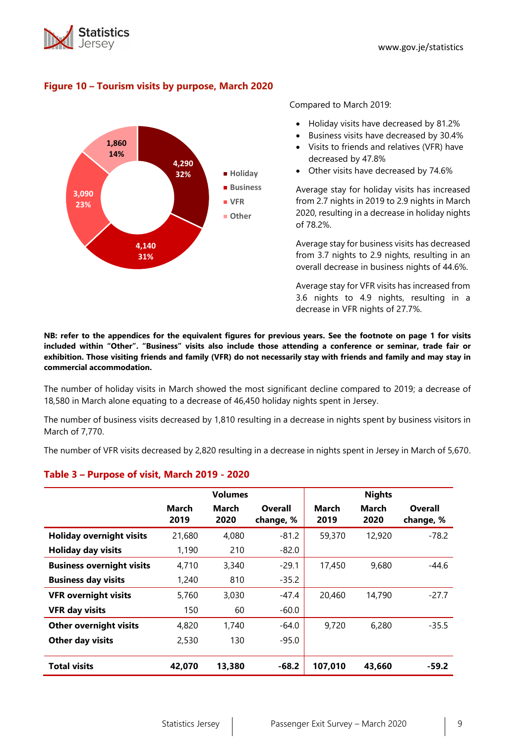



## **Figure 10 – Tourism visits by purpose, March 2020**

Compared to March 2019:

- Holiday visits have decreased by 81.2%
- Business visits have decreased by 30.4%
- Visits to friends and relatives (VFR) have decreased by 47.8%
- Other visits have decreased by 74.6%

Average stay for holiday visits has increased from 2.7 nights in 2019 to 2.9 nights in March 2020, resulting in a decrease in holiday nights of 78.2%.

Average stay for business visits has decreased from 3.7 nights to 2.9 nights, resulting in an overall decrease in business nights of 44.6%.

Average stay for VFR visits has increased from 3.6 nights to 4.9 nights, resulting in a decrease in VFR nights of 27.7%.

**NB: refer to the appendices for the equivalent figures for previous years. See the footnote on page 1 for visits included within "Other". "Business" visits also include those attending a conference or seminar, trade fair or exhibition. Those visiting friends and family (VFR) do not necessarily stay with friends and family and may stay in commercial accommodation.**

The number of holiday visits in March showed the most significant decline compared to 2019; a decrease of 18,580 in March alone equating to a decrease of 46,450 holiday nights spent in Jersey.

The number of business visits decreased by 1,810 resulting in a decrease in nights spent by business visitors in March of 7,770.

The number of VFR visits decreased by 2,820 resulting in a decrease in nights spent in Jersey in March of 5,670.

## **Table 3 – Purpose of visit, March 2019 - 2020**

|                                  |                      | <b>Volumes</b> |                      |               | <b>Nights</b>        |                      |
|----------------------------------|----------------------|----------------|----------------------|---------------|----------------------|----------------------|
|                                  | <b>March</b><br>2019 | March<br>2020  | Overall<br>change, % | March<br>2019 | <b>March</b><br>2020 | Overall<br>change, % |
| <b>Holiday overnight visits</b>  | 21,680               | 4,080          | $-81.2$              | 59,370        | 12,920               | $-78.2$              |
| <b>Holiday day visits</b>        | 1,190                | 210            | $-82.0$              |               |                      |                      |
| <b>Business overnight visits</b> | 4,710                | 3,340          | $-29.1$              | 17,450        | 9,680                | $-44.6$              |
| <b>Business day visits</b>       | 1,240                | 810            | $-35.2$              |               |                      |                      |
| <b>VFR overnight visits</b>      | 5,760                | 3,030          | -47.4                | 20,460        | 14,790               | $-27.7$              |
| <b>VFR day visits</b>            | 150                  | 60             | $-60.0$              |               |                      |                      |
| <b>Other overnight visits</b>    | 4,820                | 1,740          | $-64.0$              | 9,720         | 6,280                | $-35.5$              |
| <b>Other day visits</b>          | 2,530                | 130            | $-95.0$              |               |                      |                      |
| <b>Total visits</b>              | 42,070               | 13,380         | $-68.2$              | 107,010       | 43,660               | $-59.2$              |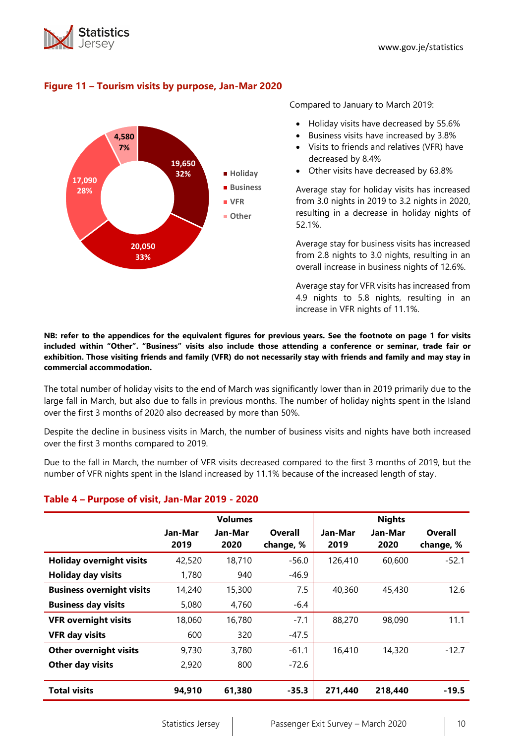



## **Figure 11 – Tourism visits by purpose, Jan-Mar 2020**

Compared to January to March 2019:

- Holiday visits have decreased by 55.6%
- Business visits have increased by 3.8%
- Visits to friends and relatives (VFR) have decreased by 8.4%
- Other visits have decreased by 63.8%

Average stay for holiday visits has increased from 3.0 nights in 2019 to 3.2 nights in 2020, resulting in a decrease in holiday nights of 52.1%.

Average stay for business visits has increased from 2.8 nights to 3.0 nights, resulting in an overall increase in business nights of 12.6%.

Average stay for VFR visits has increased from 4.9 nights to 5.8 nights, resulting in an increase in VFR nights of 11.1%.

**NB: refer to the appendices for the equivalent figures for previous years. See the footnote on page 1 for visits included within "Other". "Business" visits also include those attending a conference or seminar, trade fair or exhibition. Those visiting friends and family (VFR) do not necessarily stay with friends and family and may stay in commercial accommodation.**

The total number of holiday visits to the end of March was significantly lower than in 2019 primarily due to the large fall in March, but also due to falls in previous months. The number of holiday nights spent in the Island over the first 3 months of 2020 also decreased by more than 50%.

Despite the decline in business visits in March, the number of business visits and nights have both increased over the first 3 months compared to 2019.

Due to the fall in March, the number of VFR visits decreased compared to the first 3 months of 2019, but the number of VFR nights spent in the Island increased by 11.1% because of the increased length of stay.

## **Table 4 – Purpose of visit, Jan-Mar 2019 - 2020**

|                                  |                 | <b>Volumes</b>  |                      |                 | <b>Nights</b>   |                             |
|----------------------------------|-----------------|-----------------|----------------------|-----------------|-----------------|-----------------------------|
|                                  | Jan-Mar<br>2019 | Jan-Mar<br>2020 | Overall<br>change, % | Jan-Mar<br>2019 | Jan-Mar<br>2020 | <b>Overall</b><br>change, % |
| <b>Holiday overnight visits</b>  | 42,520          | 18,710          | $-56.0$              | 126,410         | 60,600          | $-52.1$                     |
| <b>Holiday day visits</b>        | 1,780           | 940             | $-46.9$              |                 |                 |                             |
| <b>Business overnight visits</b> | 14,240          | 15,300          | 7.5                  | 40,360          | 45,430          | 12.6                        |
| <b>Business day visits</b>       | 5,080           | 4,760           | $-6.4$               |                 |                 |                             |
| <b>VFR overnight visits</b>      | 18,060          | 16,780          | $-7.1$               | 88,270          | 98,090          | 11.1                        |
| <b>VFR day visits</b>            | 600             | 320             | $-47.5$              |                 |                 |                             |
| <b>Other overnight visits</b>    | 9,730           | 3,780           | $-61.1$              | 16,410          | 14,320          | $-12.7$                     |
| Other day visits                 | 2,920           | 800             | $-72.6$              |                 |                 |                             |
| <b>Total visits</b>              | 94,910          | 61,380          | $-35.3$              | 271,440         | 218,440         | $-19.5$                     |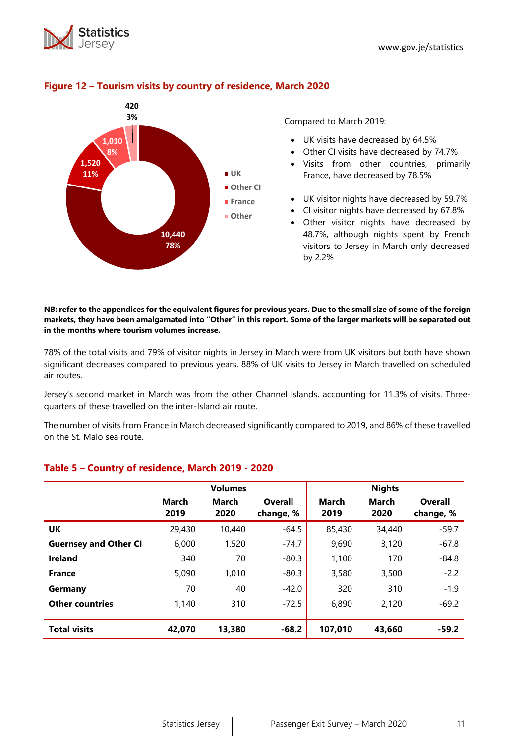



## **Figure 12 – Tourism visits by country of residence, March 2020**

Compared to March 2019:

- UK visits have decreased by 64.5%
- Other CI visits have decreased by 74.7%
- Visits from other countries, primarily France, have decreased by 78.5%
- UK visitor nights have decreased by 59.7%
- CI visitor nights have decreased by 67.8%
- Other visitor nights have decreased by 48.7%, although nights spent by French visitors to Jersey in March only decreased by 2.2%

#### **NB: refer to the appendices for the equivalent figures for previous years. Due to the small size of some of the foreign markets, they have been amalgamated into "Other" in this report. Some of the larger markets will be separated out in the months where tourism volumes increase.**

78% of the total visits and 79% of visitor nights in Jersey in March were from UK visitors but both have shown significant decreases compared to previous years. 88% of UK visits to Jersey in March travelled on scheduled air routes.

Jersey's second market in March was from the other Channel Islands, accounting for 11.3% of visits. Threequarters of these travelled on the inter-Island air route.

The number of visits from France in March decreased significantly compared to 2019, and 86% of these travelled on the St. Malo sea route.

|                              |                      | <b>Volumes</b>       |                             |                      | <b>Nights</b>        |                      |
|------------------------------|----------------------|----------------------|-----------------------------|----------------------|----------------------|----------------------|
|                              | <b>March</b><br>2019 | <b>March</b><br>2020 | <b>Overall</b><br>change, % | <b>March</b><br>2019 | <b>March</b><br>2020 | Overall<br>change, % |
| UK                           | 29,430               | 10,440               | $-64.5$                     | 85,430               | 34,440               | $-59.7$              |
| <b>Guernsey and Other CI</b> | 6,000                | 1,520                | $-74.7$                     | 9,690                | 3,120                | $-67.8$              |
| <b>Ireland</b>               | 340                  | 70                   | $-80.3$                     | 1,100                | 170                  | $-84.8$              |
| <b>France</b>                | 5,090                | 1,010                | $-80.3$                     | 3,580                | 3,500                | $-2.2$               |
| Germany                      | 70                   | 40                   | $-42.0$                     | 320                  | 310                  | $-1.9$               |
| <b>Other countries</b>       | 1,140                | 310                  | $-72.5$                     | 6,890                | 2,120                | $-69.2$              |
| <b>Total visits</b>          | 42,070               | 13,380               | $-68.2$                     | 107,010              | 43,660               | $-59.2$              |

## **Table 5 – Country of residence, March 2019 - 2020**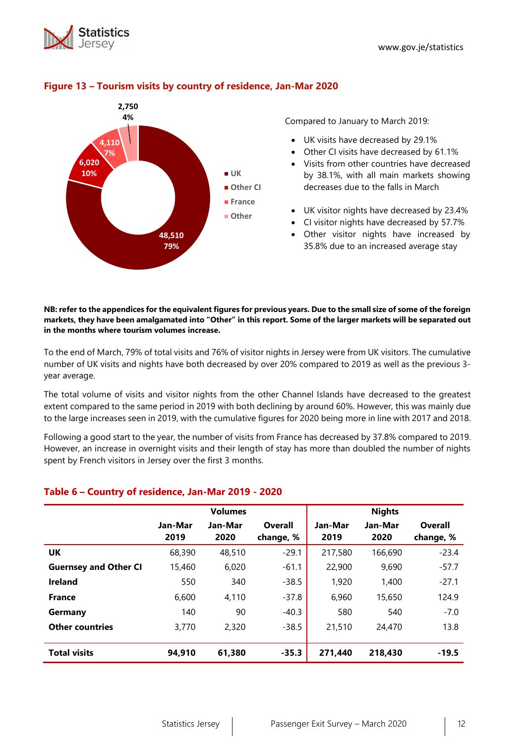



## **Figure 13 – Tourism visits by country of residence, Jan-Mar 2020**

Compared to January to March 2019:

- UK visits have decreased by 29.1%
- Other CI visits have decreased by 61.1%
- Visits from other countries have decreased by 38.1%, with all main markets showing decreases due to the falls in March
- UK visitor nights have decreased by 23.4%
- CI visitor nights have decreased by 57.7%
- Other visitor nights have increased by 35.8% due to an increased average stay

**NB: refer to the appendices for the equivalent figures for previous years. Due to the small size of some of the foreign markets, they have been amalgamated into "Other" in this report. Some of the larger markets will be separated out in the months where tourism volumes increase.**

To the end of March, 79% of total visits and 76% of visitor nights in Jersey were from UK visitors. The cumulative number of UK visits and nights have both decreased by over 20% compared to 2019 as well as the previous 3 year average.

The total volume of visits and visitor nights from the other Channel Islands have decreased to the greatest extent compared to the same period in 2019 with both declining by around 60%. However, this was mainly due to the large increases seen in 2019, with the cumulative figures for 2020 being more in line with 2017 and 2018.

Following a good start to the year, the number of visits from France has decreased by 37.8% compared to 2019. However, an increase in overnight visits and their length of stay has more than doubled the number of nights spent by French visitors in Jersey over the first 3 months.

## **Table 6 – Country of residence, Jan-Mar 2019 - 2020**

|                              |         | <b>Volumes</b> |           |         | <b>Nights</b> |           |
|------------------------------|---------|----------------|-----------|---------|---------------|-----------|
|                              | Jan-Mar | Jan-Mar        | Overall   | Jan-Mar | Jan-Mar       | Overall   |
|                              | 2019    | 2020           | change, % | 2019    | 2020          | change, % |
| UK                           | 68,390  | 48,510         | $-29.1$   | 217,580 | 166,690       | $-23.4$   |
| <b>Guernsey and Other CI</b> | 15,460  | 6,020          | $-61.1$   | 22,900  | 9,690         | $-57.7$   |
| <b>Ireland</b>               | 550     | 340            | $-38.5$   | 1,920   | 1,400         | $-27.1$   |
| <b>France</b>                | 6,600   | 4.110          | $-37.8$   | 6,960   | 15,650        | 124.9     |
| Germany                      | 140     | 90             | $-40.3$   | 580     | 540           | $-7.0$    |
| <b>Other countries</b>       | 3,770   | 2,320          | $-38.5$   | 21,510  | 24,470        | 13.8      |
|                              |         |                |           |         |               |           |
| <b>Total visits</b>          | 94,910  | 61,380         | $-35.3$   | 271,440 | 218,430       | $-19.5$   |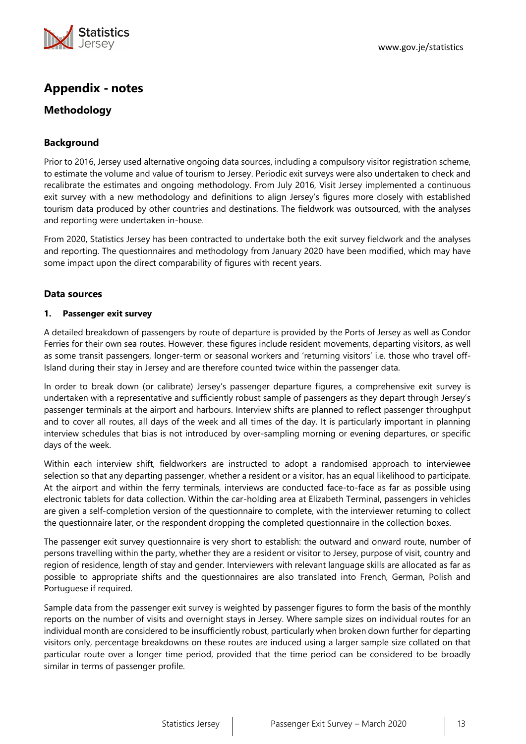

## **Appendix - notes**

## **Methodology**

## **Background**

Prior to 2016, Jersey used alternative ongoing data sources, including a compulsory visitor registration scheme, to estimate the volume and value of tourism to Jersey. Periodic exit surveys were also undertaken to check and recalibrate the estimates and ongoing methodology. From July 2016, Visit Jersey implemented a continuous exit survey with a new methodology and definitions to align Jersey's figures more closely with established tourism data produced by other countries and destinations. The fieldwork was outsourced, with the analyses and reporting were undertaken in-house.

From 2020, Statistics Jersey has been contracted to undertake both the exit survey fieldwork and the analyses and reporting. The questionnaires and methodology from January 2020 have been modified, which may have some impact upon the direct comparability of figures with recent years.

#### **Data sources**

#### **1. Passenger exit survey**

A detailed breakdown of passengers by route of departure is provided by the Ports of Jersey as well as Condor Ferries for their own sea routes. However, these figures include resident movements, departing visitors, as well as some transit passengers, longer-term or seasonal workers and 'returning visitors' i.e. those who travel off-Island during their stay in Jersey and are therefore counted twice within the passenger data.

In order to break down (or calibrate) Jersey's passenger departure figures, a comprehensive exit survey is undertaken with a representative and sufficiently robust sample of passengers as they depart through Jersey's passenger terminals at the airport and harbours. Interview shifts are planned to reflect passenger throughput and to cover all routes, all days of the week and all times of the day. It is particularly important in planning interview schedules that bias is not introduced by over-sampling morning or evening departures, or specific days of the week.

Within each interview shift, fieldworkers are instructed to adopt a randomised approach to interviewee selection so that any departing passenger, whether a resident or a visitor, has an equal likelihood to participate. At the airport and within the ferry terminals, interviews are conducted face-to-face as far as possible using electronic tablets for data collection. Within the car-holding area at Elizabeth Terminal, passengers in vehicles are given a self-completion version of the questionnaire to complete, with the interviewer returning to collect the questionnaire later, or the respondent dropping the completed questionnaire in the collection boxes.

The passenger exit survey questionnaire is very short to establish: the outward and onward route, number of persons travelling within the party, whether they are a resident or visitor to Jersey, purpose of visit, country and region of residence, length of stay and gender. Interviewers with relevant language skills are allocated as far as possible to appropriate shifts and the questionnaires are also translated into French, German, Polish and Portuguese if required.

Sample data from the passenger exit survey is weighted by passenger figures to form the basis of the monthly reports on the number of visits and overnight stays in Jersey. Where sample sizes on individual routes for an individual month are considered to be insufficiently robust, particularly when broken down further for departing visitors only, percentage breakdowns on these routes are induced using a larger sample size collated on that particular route over a longer time period, provided that the time period can be considered to be broadly similar in terms of passenger profile.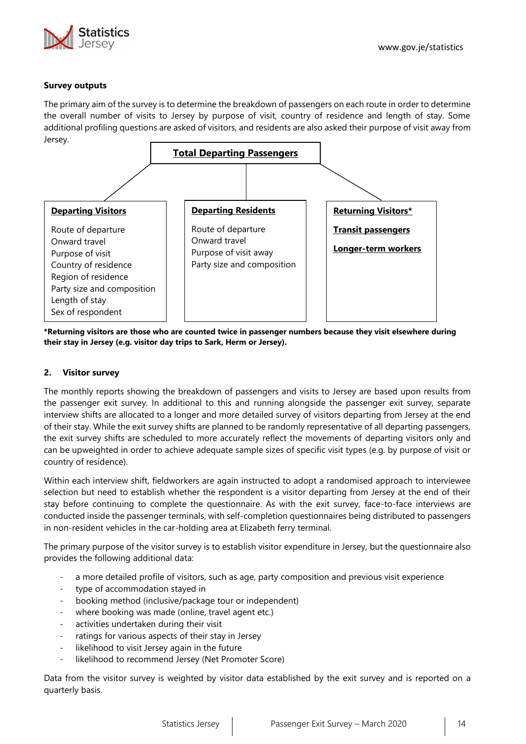

#### **Survey outputs**

The primary aim of the survey is to determine the breakdown of passengers on each route in order to determine the overall number of visits to Jersey by purpose of visit, country of residence and length of stay. Some additional profiling questions are asked of visitors, and residents are also asked their purpose of visit away from Jersey.



**\*Returning visitors are those who are counted twice in passenger numbers because they visit elsewhere during their stay in Jersey (e.g. visitor day trips to Sark, Herm or Jersey).**

#### **2. Visitor survey**

The monthly reports showing the breakdown of passengers and visits to Jersey are based upon results from the passenger exit survey. In additional to this and running alongside the passenger exit survey, separate interview shifts are allocated to a longer and more detailed survey of visitors departing from Jersey at the end of their stay. While the exit survey shifts are planned to be randomly representative of all departing passengers, the exit survey shifts are scheduled to more accurately reflect the movements of departing visitors only and can be upweighted in order to achieve adequate sample sizes of specific visit types (e.g. by purpose of visit or country of residence).

Within each interview shift, fieldworkers are again instructed to adopt a randomised approach to interviewee selection but need to establish whether the respondent is a visitor departing from Jersey at the end of their stay before continuing to complete the questionnaire. As with the exit survey, face-to-face interviews are conducted inside the passenger terminals, with self-completion questionnaires being distributed to passengers in non-resident vehicles in the car-holding area at Elizabeth ferry terminal.

The primary purpose of the visitor survey is to establish visitor expenditure in Jersey, but the questionnaire also provides the following additional data:

- a more detailed profile of visitors, such as age, party composition and previous visit experience
- type of accommodation stayed in
- booking method (inclusive/package tour or independent)
- where booking was made (online, travel agent etc.)
- activities undertaken during their visit
- ratings for various aspects of their stay in Jersey
- likelihood to visit Jersey again in the future
- likelihood to recommend Jersey (Net Promoter Score)

Data from the visitor survey is weighted by visitor data established by the exit survey and is reported on a quarterly basis.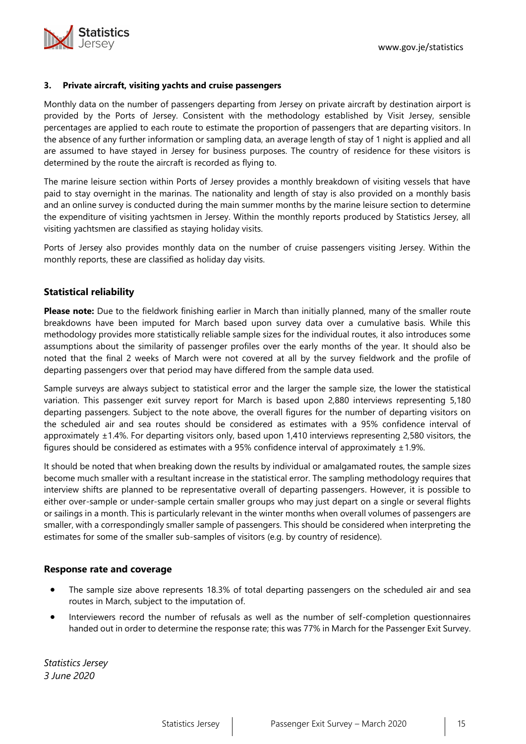

#### **3. Private aircraft, visiting yachts and cruise passengers**

Monthly data on the number of passengers departing from Jersey on private aircraft by destination airport is provided by the Ports of Jersey. Consistent with the methodology established by Visit Jersey, sensible percentages are applied to each route to estimate the proportion of passengers that are departing visitors. In the absence of any further information or sampling data, an average length of stay of 1 night is applied and all are assumed to have stayed in Jersey for business purposes. The country of residence for these visitors is determined by the route the aircraft is recorded as flying to.

The marine leisure section within Ports of Jersey provides a monthly breakdown of visiting vessels that have paid to stay overnight in the marinas. The nationality and length of stay is also provided on a monthly basis and an online survey is conducted during the main summer months by the marine leisure section to determine the expenditure of visiting yachtsmen in Jersey. Within the monthly reports produced by Statistics Jersey, all visiting yachtsmen are classified as staying holiday visits.

Ports of Jersey also provides monthly data on the number of cruise passengers visiting Jersey. Within the monthly reports, these are classified as holiday day visits.

## **Statistical reliability**

**Please note:** Due to the fieldwork finishing earlier in March than initially planned, many of the smaller route breakdowns have been imputed for March based upon survey data over a cumulative basis. While this methodology provides more statistically reliable sample sizes for the individual routes, it also introduces some assumptions about the similarity of passenger profiles over the early months of the year. It should also be noted that the final 2 weeks of March were not covered at all by the survey fieldwork and the profile of departing passengers over that period may have differed from the sample data used.

Sample surveys are always subject to statistical error and the larger the sample size, the lower the statistical variation. This passenger exit survey report for March is based upon 2,880 interviews representing 5,180 departing passengers. Subject to the note above, the overall figures for the number of departing visitors on the scheduled air and sea routes should be considered as estimates with a 95% confidence interval of approximately ±1.4%. For departing visitors only, based upon 1,410 interviews representing 2,580 visitors, the figures should be considered as estimates with a 95% confidence interval of approximately  $\pm 1.9$ %.

It should be noted that when breaking down the results by individual or amalgamated routes, the sample sizes become much smaller with a resultant increase in the statistical error. The sampling methodology requires that interview shifts are planned to be representative overall of departing passengers. However, it is possible to either over-sample or under-sample certain smaller groups who may just depart on a single or several flights or sailings in a month. This is particularly relevant in the winter months when overall volumes of passengers are smaller, with a correspondingly smaller sample of passengers. This should be considered when interpreting the estimates for some of the smaller sub-samples of visitors (e.g. by country of residence).

#### **Response rate and coverage**

- The sample size above represents 18.3% of total departing passengers on the scheduled air and sea routes in March, subject to the imputation of.
- Interviewers record the number of refusals as well as the number of self-completion questionnaires handed out in order to determine the response rate; this was 77% in March for the Passenger Exit Survey.

*Statistics Jersey 3 June 2020*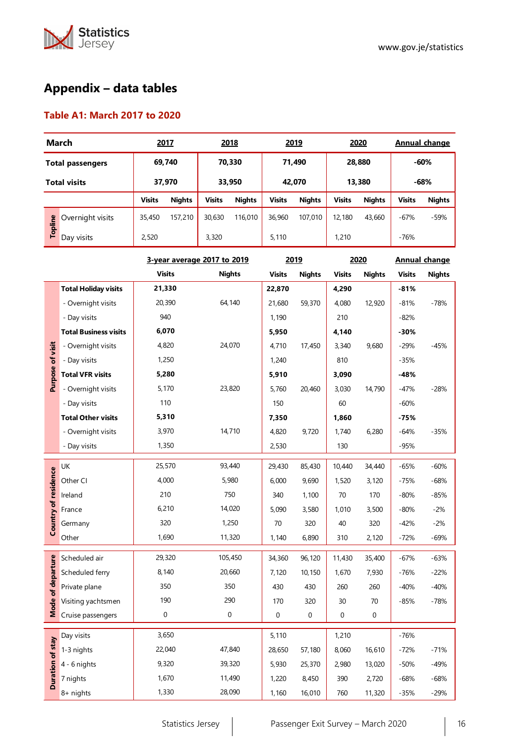

# **Appendix – data tables**

## **Table A1: March 2017 to 2020**

| <b>March</b>                |                  |               | 2017          |                  | 2018          | 2019          |               | 2020          |               | Annual change |               |
|-----------------------------|------------------|---------------|---------------|------------------|---------------|---------------|---------------|---------------|---------------|---------------|---------------|
| <b>Total passengers</b>     |                  |               | 69,740        | 70,330           |               | 71,490        |               | 28,880        |               | $-60%$        |               |
| <b>Total visits</b>         |                  |               | 37,970        | 33,950<br>42.070 |               | 13,380        |               | $-68%$        |               |               |               |
|                             |                  | <b>Visits</b> | <b>Nights</b> | <b>Visits</b>    | <b>Nights</b> | <b>Visits</b> | <b>Nights</b> | <b>Visits</b> | <b>Nights</b> | <b>Visits</b> | <b>Nights</b> |
| Topline                     | Overnight visits | 35,450        | 157,210       | 30.630           | 116,010       | 36,960        | 107.010       | 12,180        | 43,660        | $-67%$        | $-59%$        |
|                             | Day visits       | 2,520         |               | 3,320            |               | 5.110         |               | 1,210         |               | $-76%$        |               |
| 3-year average 2017 to 2019 |                  |               |               |                  |               |               | 2019          | 2020          |               |               | Annual change |

|                         |                              | <b>Visits</b>    | <b>Nights</b> | <b>Visits</b>    | <b>Nights</b> | <b>Visits</b> | <b>Nights</b> | <b>Visits</b> | <b>Nights</b> |
|-------------------------|------------------------------|------------------|---------------|------------------|---------------|---------------|---------------|---------------|---------------|
|                         | <b>Total Holiday visits</b>  | 21,330           |               | 22,870           |               | 4,290         |               | $-81%$        |               |
|                         | - Overnight visits           | 20,390           | 64,140        | 21,680           | 59,370        | 4,080         | 12,920        | $-81%$        | $-78%$        |
|                         | - Day visits                 | 940              |               | 1,190            |               | 210           |               | $-82%$        |               |
|                         | <b>Total Business visits</b> | 6,070            |               | 5,950            |               | 4,140         |               | $-30%$        |               |
| visit                   | - Overnight visits           | 4,820            | 24,070        | 4,710            | 17,450        | 3,340         | 9,680         | $-29%$        | $-45%$        |
|                         | - Day visits                 | 1,250            |               | 1,240            |               | 810           |               | $-35%$        |               |
| Purpose of              | <b>Total VFR visits</b>      | 5,280            |               | 5,910            |               | 3,090         |               | -48%          |               |
|                         | - Overnight visits           | 5,170            | 23,820        | 5,760            | 20,460        | 3,030         | 14,790        | $-47%$        | $-28%$        |
|                         | - Day visits                 | 110              |               | 150              |               | 60            |               | $-60%$        |               |
|                         | <b>Total Other visits</b>    | 5,310            |               | 7,350            |               | 1,860         |               | $-75%$        |               |
|                         | - Overnight visits           | 3,970            | 14,710        | 4,820            | 9,720         | 1,740         | 6,280         | $-64%$        | $-35%$        |
|                         | - Day visits                 | 1,350            |               | 2,530            |               | 130           |               | $-95%$        |               |
|                         | UK                           | 25,570           | 93,440        | 29,430           | 85,430        | 10,440        | 34,440        | $-65%$        | $-60%$        |
| Country of residence    | Other CI                     | 4,000            | 5,980         | 6,000            | 9,690         | 1,520         | 3,120         | $-75%$        | $-68%$        |
|                         | Ireland                      | 210              | 750           | 340              | 1,100         | 70            | 170           | $-80%$        | $-85%$        |
|                         | France                       | 6,210            | 14,020        | 5,090            | 3,580         | 1,010         | 3,500         | $-80%$        | $-2%$         |
|                         | Germany                      | 320              | 1,250         | 70               | 320           | 40            | 320           | $-42%$        | $-2%$         |
|                         | Other                        | 1,690            | 11,320        | 1,140            | 6,890         | 310           | 2,120         | $-72%$        | -69%          |
|                         |                              |                  |               |                  |               |               |               |               |               |
| of departure            | Scheduled air                | 29,320           | 105,450       | 34,360           | 96,120        | 11,430        | 35,400        | $-67%$        | $-63%$        |
|                         | Scheduled ferry              | 8,140            | 20,660        | 7,120            | 10,150        | 1,670         | 7,930         | $-76%$        | $-22%$        |
|                         | Private plane                | 350              | 350           | 430              | 430           | 260           | 260           | $-40%$        | $-40%$        |
| Mode                    | Visiting yachtsmen           | 190              | 290           | 170              | 320           | 30            | 70            | $-85%$        | $-78%$        |
|                         | Cruise passengers            | $\boldsymbol{0}$ | $\mathbf 0$   | $\boldsymbol{0}$ | 0             | 0             | 0             |               |               |
|                         | Day visits                   | 3,650            |               | 5,110            |               | 1,210         |               | $-76%$        |               |
|                         | 1-3 nights                   | 22,040           | 47,840        | 28,650           | 57,180        | 8,060         | 16,610        | $-72%$        | $-71%$        |
| <b>Duration of stay</b> | 4 - 6 nights                 | 9,320            | 39,320        | 5,930            | 25,370        | 2,980         | 13,020        | $-50%$        | $-49%$        |
|                         | 7 nights                     | 1,670            | 11,490        | 1,220            | 8,450         | 390           | 2,720         | $-68%$        | $-68%$        |
|                         | 8+ nights                    | 1,330            | 28,090        | 1,160            | 16,010        | 760           | 11,320        | $-35%$        | $-29%$        |